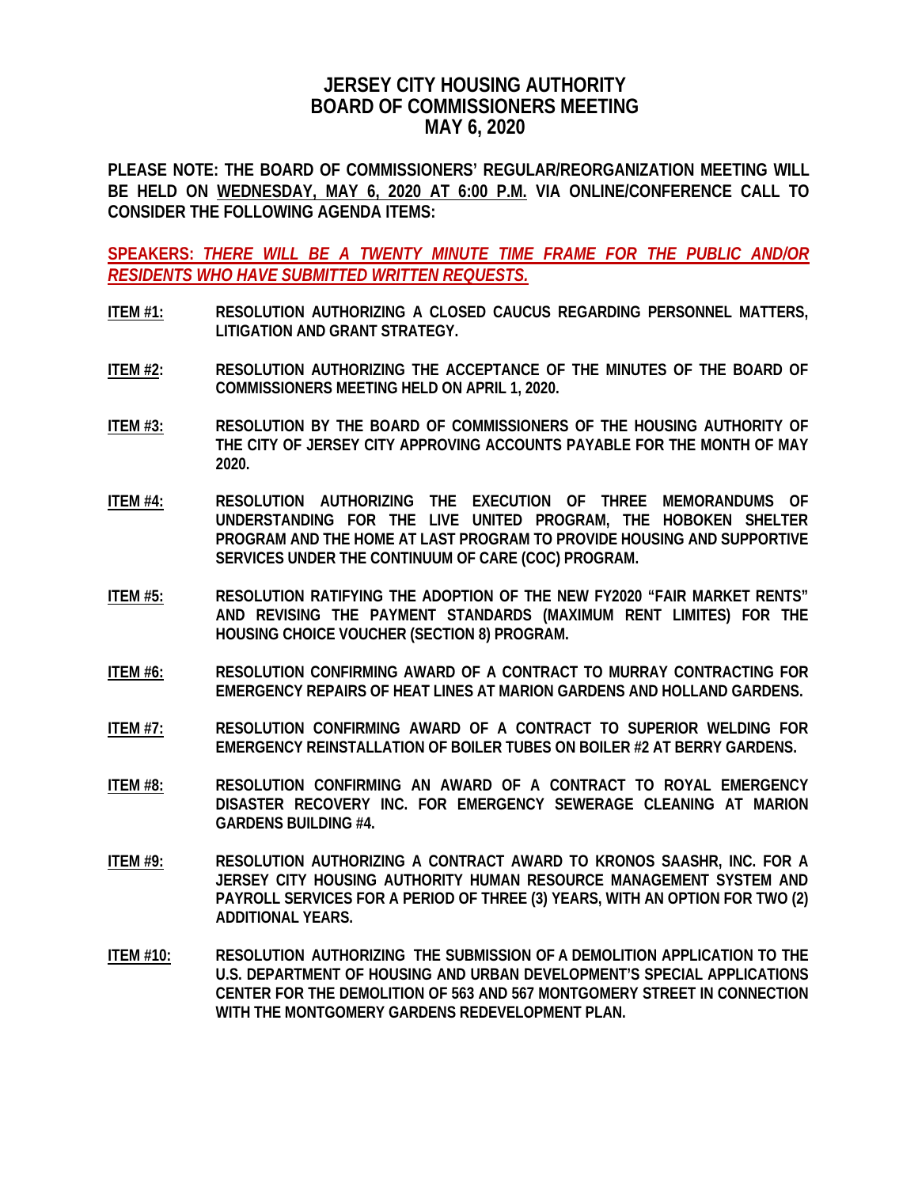## **JERSEY CITY HOUSING AUTHORITY BOARD OF COMMISSIONERS MEETING MAY 6, 2020**

**PLEASE NOTE: THE BOARD OF COMMISSIONERS' REGULAR/REORGANIZATION MEETING WILL BE HELD ON WEDNESDAY, MAY 6, 2020 AT 6:00 P.M. VIA ONLINE/CONFERENCE CALL TO CONSIDER THE FOLLOWING AGENDA ITEMS:**

**SPEAKERS:** *THERE WILL BE A TWENTY MINUTE TIME FRAME FOR THE PUBLIC AND/OR RESIDENTS WHO HAVE SUBMITTED WRITTEN REQUESTS.*

- **ITEM #1: RESOLUTION AUTHORIZING A CLOSED CAUCUS REGARDING PERSONNEL MATTERS, LITIGATION AND GRANT STRATEGY.**
- **ITEM #2: RESOLUTION AUTHORIZING THE ACCEPTANCE OF THE MINUTES OF THE BOARD OF COMMISSIONERS MEETING HELD ON APRIL 1, 2020.**
- **ITEM #3: RESOLUTION BY THE BOARD OF COMMISSIONERS OF THE HOUSING AUTHORITY OF THE CITY OF JERSEY CITY APPROVING ACCOUNTS PAYABLE FOR THE MONTH OF MAY 2020.**
- **ITEM #4: RESOLUTION AUTHORIZING THE EXECUTION OF THREE MEMORANDUMS OF UNDERSTANDING FOR THE LIVE UNITED PROGRAM, THE HOBOKEN SHELTER PROGRAM AND THE HOME AT LAST PROGRAM TO PROVIDE HOUSING AND SUPPORTIVE SERVICES UNDER THE CONTINUUM OF CARE (COC) PROGRAM.**
- **ITEM #5: RESOLUTION RATIFYING THE ADOPTION OF THE NEW FY2020 "FAIR MARKET RENTS" AND REVISING THE PAYMENT STANDARDS (MAXIMUM RENT LIMITES) FOR THE HOUSING CHOICE VOUCHER (SECTION 8) PROGRAM.**
- **ITEM #6: RESOLUTION CONFIRMING AWARD OF A CONTRACT TO MURRAY CONTRACTING FOR EMERGENCY REPAIRS OF HEAT LINES AT MARION GARDENS AND HOLLAND GARDENS.**
- **ITEM #7: RESOLUTION CONFIRMING AWARD OF A CONTRACT TO SUPERIOR WELDING FOR EMERGENCY REINSTALLATION OF BOILER TUBES ON BOILER #2 AT BERRY GARDENS.**
- **ITEM #8: RESOLUTION CONFIRMING AN AWARD OF A CONTRACT TO ROYAL EMERGENCY DISASTER RECOVERY INC. FOR EMERGENCY SEWERAGE CLEANING AT MARION GARDENS BUILDING #4.**
- **ITEM #9: RESOLUTION AUTHORIZING A CONTRACT AWARD TO KRONOS SAASHR, INC. FOR A JERSEY CITY HOUSING AUTHORITY HUMAN RESOURCE MANAGEMENT SYSTEM AND PAYROLL SERVICES FOR A PERIOD OF THREE (3) YEARS, WITH AN OPTION FOR TWO (2) ADDITIONAL YEARS.**
- **ITEM #10: RESOLUTION AUTHORIZING THE SUBMISSION OF A DEMOLITION APPLICATION TO THE U.S. DEPARTMENT OF HOUSING AND URBAN DEVELOPMENT'S SPECIAL APPLICATIONS CENTER FOR THE DEMOLITION OF 563 AND 567 MONTGOMERY STREET IN CONNECTION WITH THE MONTGOMERY GARDENS REDEVELOPMENT PLAN.**